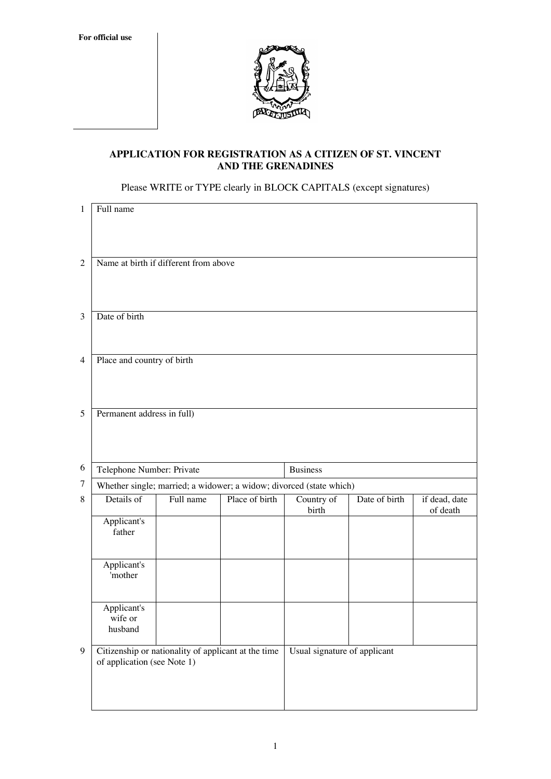**For official use**



# **APPLICATION FOR REGISTRATION AS A CITIZEN OF ST. VINCENT AND THE GRENADINES**

Please WRITE or TYPE clearly in BLOCK CAPITALS (except signatures)

| $\mathbf{1}$   | Full name                                                           |                                                     |                |                              |               |                           |  |
|----------------|---------------------------------------------------------------------|-----------------------------------------------------|----------------|------------------------------|---------------|---------------------------|--|
| $\overline{2}$ | Name at birth if different from above                               |                                                     |                |                              |               |                           |  |
| 3              | Date of birth                                                       |                                                     |                |                              |               |                           |  |
| $\overline{4}$ | Place and country of birth                                          |                                                     |                |                              |               |                           |  |
| 5              | Permanent address in full)                                          |                                                     |                |                              |               |                           |  |
| 6              | Telephone Number: Private<br><b>Business</b>                        |                                                     |                |                              |               |                           |  |
| $\tau$         | Whether single; married; a widower; a widow; divorced (state which) |                                                     |                |                              |               |                           |  |
| $8\,$          | Details of                                                          | Full name                                           | Place of birth | Country of<br>birth          | Date of birth | if dead, date<br>of death |  |
|                | Applicant's<br>father                                               |                                                     |                |                              |               |                           |  |
|                | Applicant's<br>'mother                                              |                                                     |                |                              |               |                           |  |
|                | Applicant's<br>wife or<br>husband                                   |                                                     |                |                              |               |                           |  |
| 9              | of application (see Note 1)                                         | Citizenship or nationality of applicant at the time |                | Usual signature of applicant |               |                           |  |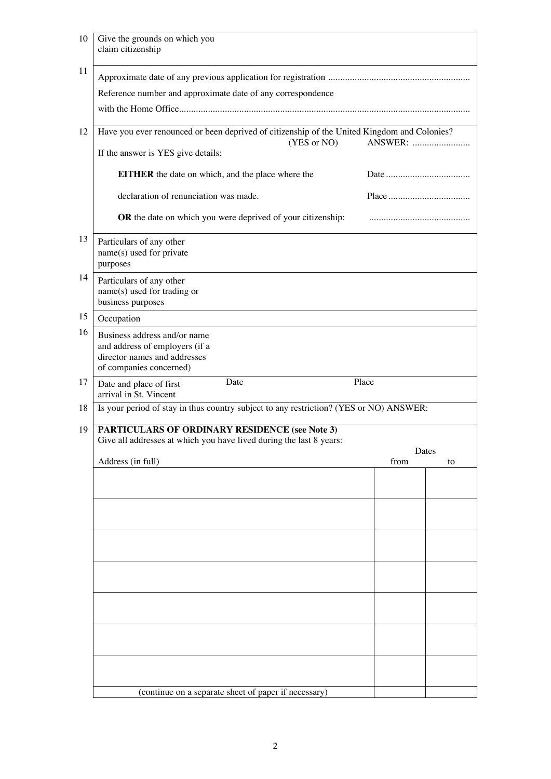| 10 | Give the grounds on which you<br>claim citizenship                                                                           |         |             |  |
|----|------------------------------------------------------------------------------------------------------------------------------|---------|-------------|--|
| 11 |                                                                                                                              |         |             |  |
|    | Reference number and approximate date of any correspondence                                                                  |         |             |  |
|    |                                                                                                                              |         |             |  |
| 12 | Have you ever renounced or been deprived of citizenship of the United Kingdom and Colonies?                                  |         |             |  |
|    | (YES or NO)                                                                                                                  | ANSWER: |             |  |
|    | If the answer is YES give details:                                                                                           |         |             |  |
|    | <b>EITHER</b> the date on which, and the place where the                                                                     |         |             |  |
|    | declaration of renunciation was made.                                                                                        |         |             |  |
|    | OR the date on which you were deprived of your citizenship:                                                                  |         |             |  |
| 13 | Particulars of any other<br>name(s) used for private<br>purposes                                                             |         |             |  |
| 14 | Particulars of any other<br>name(s) used for trading or<br>business purposes                                                 |         |             |  |
| 15 | Occupation                                                                                                                   |         |             |  |
| 16 | Business address and/or name<br>and address of employers (if a<br>director names and addresses<br>of companies concerned)    |         |             |  |
| 17 | Date<br>Date and place of first<br>arrival in St. Vincent                                                                    | Place   |             |  |
| 18 | Is your period of stay in thus country subject to any restriction? (YES or NO) ANSWER:                                       |         |             |  |
| 19 | <b>PARTICULARS OF ORDINARY RESIDENCE (see Note 3)</b><br>Give all addresses at which you have lived during the last 8 years: |         |             |  |
|    | Address (in full)                                                                                                            | from    | Dates<br>to |  |
|    |                                                                                                                              |         |             |  |
|    |                                                                                                                              |         |             |  |
|    |                                                                                                                              |         |             |  |
|    |                                                                                                                              |         |             |  |
|    |                                                                                                                              |         |             |  |
|    |                                                                                                                              |         |             |  |
|    |                                                                                                                              |         |             |  |
|    |                                                                                                                              |         |             |  |
|    |                                                                                                                              |         |             |  |
|    |                                                                                                                              |         |             |  |
|    | (continue on a separate sheet of paper if necessary)                                                                         |         |             |  |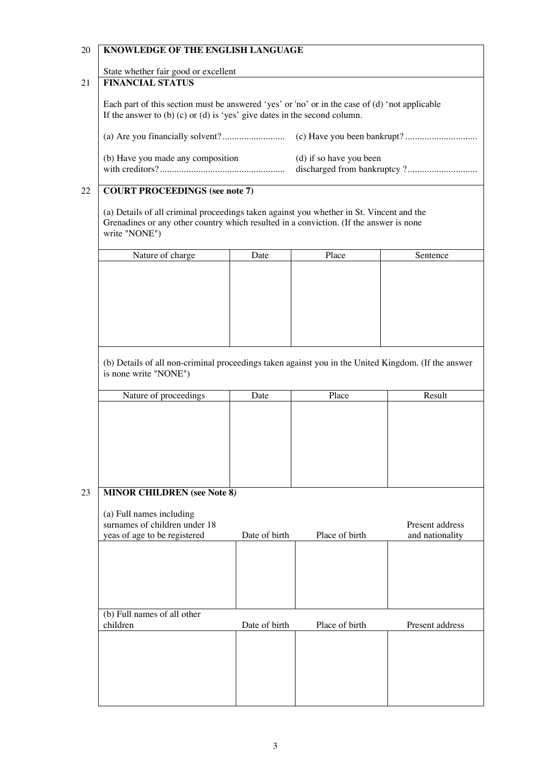# 20 **KNOWLEDGE OF THE ENGLISH LANGUAGE**

State whether fair good or excellent

# 21 **FINANCIAL STATUS**

Each part of this section must be answered 'yes' or 'no' or in the case of (d) 'not applicable If the answer to (b) (c) or (d) is 'yes' give dates in the second column.

| (b) Have you made any composition | (d) if so have you been |
|-----------------------------------|-------------------------|
|                                   |                         |

### 22 **COURT PROCEEDINGS (see note 7)**

(a) Details of all criminal proceedings taken against you whether in St. Vincent and the Grenadines or any other country which resulted in a conviction. (If the answer is none write "NONE")

| Nature of charge | Date | Place | Sentence |
|------------------|------|-------|----------|
|                  |      |       |          |
|                  |      |       |          |
|                  |      |       |          |
|                  |      |       |          |
|                  |      |       |          |
|                  |      |       |          |
|                  |      |       |          |
|                  |      |       |          |

(b) Details of all non-criminal proceedings taken against you in the United Kingdom. (If the answer is none write "NONE")

| Nature of proceedings | Date | Place | Result |
|-----------------------|------|-------|--------|
|                       |      |       |        |
|                       |      |       |        |
|                       |      |       |        |
|                       |      |       |        |
|                       |      |       |        |
|                       |      |       |        |
|                       |      |       |        |

### 23 **MINOR CHILDREN (see Note 8***)*

| Present address<br>and nationality |
|------------------------------------|
|                                    |
|                                    |
|                                    |
| Present address                    |
|                                    |
|                                    |
|                                    |
|                                    |
|                                    |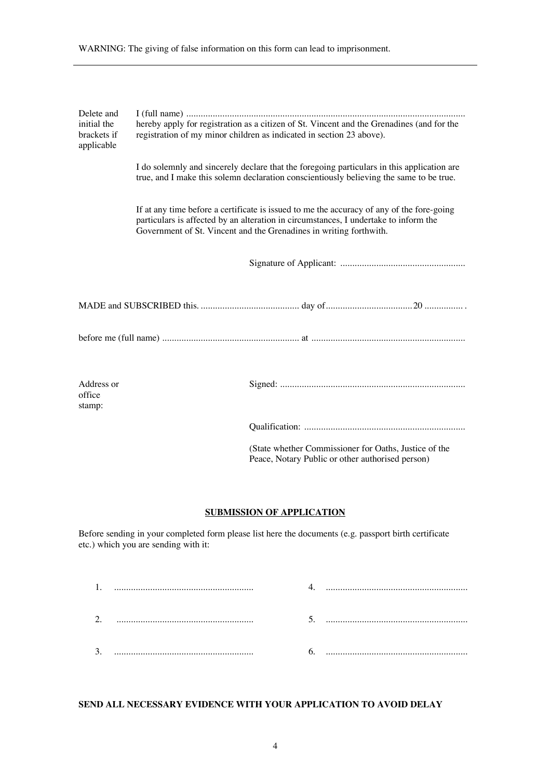| Delete and<br>initial the<br>brackets if<br>applicable |  | hereby apply for registration as a citizen of St. Vincent and the Grenadines (and for the<br>registration of my minor children as indicated in section 23 above).                                                                                       |  |  |  |
|--------------------------------------------------------|--|---------------------------------------------------------------------------------------------------------------------------------------------------------------------------------------------------------------------------------------------------------|--|--|--|
|                                                        |  | I do solemnly and sincerely declare that the foregoing particulars in this application are<br>true, and I make this solemn declaration conscientiously believing the same to be true.                                                                   |  |  |  |
|                                                        |  | If at any time before a certificate is issued to me the accuracy of any of the fore-going<br>particulars is affected by an alteration in circumstances, I undertake to inform the<br>Government of St. Vincent and the Grenadines in writing forthwith. |  |  |  |
|                                                        |  |                                                                                                                                                                                                                                                         |  |  |  |
|                                                        |  |                                                                                                                                                                                                                                                         |  |  |  |
|                                                        |  |                                                                                                                                                                                                                                                         |  |  |  |
| Address or<br>office<br>stamp:                         |  |                                                                                                                                                                                                                                                         |  |  |  |
|                                                        |  |                                                                                                                                                                                                                                                         |  |  |  |
|                                                        |  | (State whether Commissioner for Oaths, Justice of the<br>Peace, Notary Public or other authorised person)                                                                                                                                               |  |  |  |

WARNING: The giving of false information on this form can lead to imprisonment.

#### **SUBMISSION OF APPLICATION**

Before sending in your completed form please list here the documents (e.g. passport birth certificate etc.) which you are sending with it:

| າ<br>ـ. |  |  |
|---------|--|--|
| J.      |  |  |

# **SEND ALL NECESSARY EVIDENCE WITH YOUR APPLICATION TO AVOID DELAY**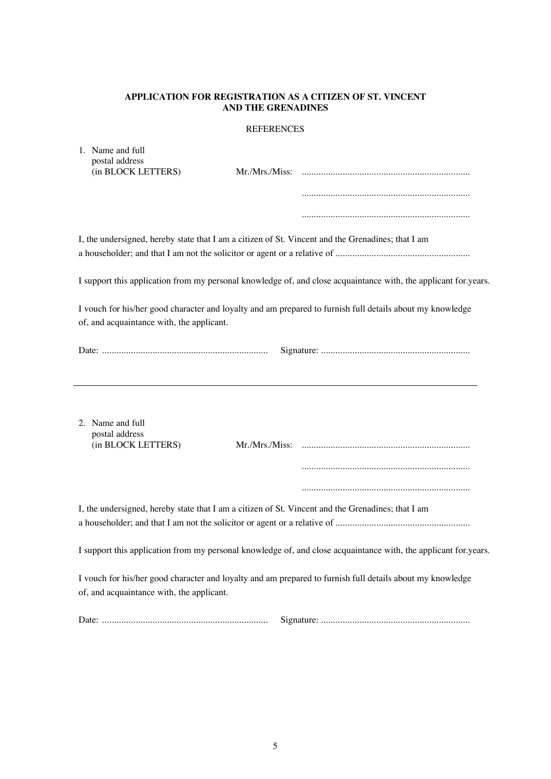# **APPLICATION FOR REGISTRATION AS A CITIZEN OF ST. VINCENT AND THE GRENADINES**

### REFERENCES

| 1. Name and full<br>postal address<br>(in BLOCK LETTERS)                                          | Mr./Mrs./Miss: |                                                                                                                 |
|---------------------------------------------------------------------------------------------------|----------------|-----------------------------------------------------------------------------------------------------------------|
|                                                                                                   |                |                                                                                                                 |
|                                                                                                   |                |                                                                                                                 |
| I, the undersigned, hereby state that I am a citizen of St. Vincent and the Grenadines; that I am |                |                                                                                                                 |
|                                                                                                   |                |                                                                                                                 |
|                                                                                                   |                | I support this application from my personal knowledge of, and close acquaintance with, the applicant for years. |
| of, and acquaintance with, the applicant.                                                         |                | I vouch for his/her good character and loyalty and am prepared to furnish full details about my knowledge       |
|                                                                                                   |                |                                                                                                                 |
|                                                                                                   |                |                                                                                                                 |
| 2. Name and full                                                                                  |                |                                                                                                                 |
| postal address<br>(in BLOCK LETTERS)                                                              |                |                                                                                                                 |
|                                                                                                   |                |                                                                                                                 |
|                                                                                                   |                |                                                                                                                 |
| I, the undersigned, hereby state that I am a citizen of St. Vincent and the Grenadines; that I am |                |                                                                                                                 |
|                                                                                                   |                | I support this application from my personal knowledge of, and close acquaintance with, the applicant for years. |
| of, and acquaintance with, the applicant.                                                         |                | I vouch for his/her good character and loyalty and am prepared to furnish full details about my knowledge       |
|                                                                                                   |                |                                                                                                                 |